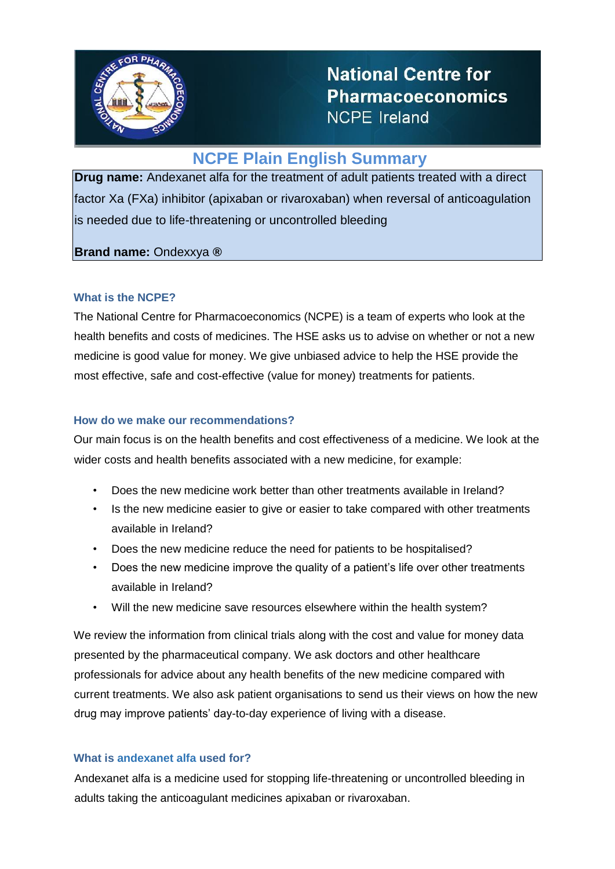

**National Centre for Pharmacoeconomics NCPE Ireland** 

# **NCPE Plain English Summary**

**Drug name:** Andexanet alfa for the treatment of adult patients treated with a direct factor Xa (FXa) inhibitor (apixaban or rivaroxaban) when reversal of anticoagulation is needed due to life-threatening or uncontrolled bleeding

# **Brand name:** Ondexxya **®**

## **What is the NCPE?**

The National Centre for Pharmacoeconomics (NCPE) is a team of experts who look at the health benefits and costs of medicines. The HSE asks us to advise on whether or not a new medicine is good value for money. We give unbiased advice to help the HSE provide the most effective, safe and cost-effective (value for money) treatments for patients.

### **How do we make our recommendations?**

Our main focus is on the health benefits and cost effectiveness of a medicine. We look at the wider costs and health benefits associated with a new medicine, for example:

- Does the new medicine work better than other treatments available in Ireland?
- Is the new medicine easier to give or easier to take compared with other treatments available in Ireland?
- Does the new medicine reduce the need for patients to be hospitalised?
- Does the new medicine improve the quality of a patient's life over other treatments available in Ireland?
- Will the new medicine save resources elsewhere within the health system?

We review the information from clinical trials along with the cost and value for money data presented by the pharmaceutical company. We ask doctors and other healthcare professionals for advice about any health benefits of the new medicine compared with current treatments. We also ask patient organisations to send us their views on how the new drug may improve patients' day-to-day experience of living with a disease.

#### **What is andexanet alfa used for?**

Andexanet alfa is a medicine used for stopping life-threatening or uncontrolled bleeding in adults taking the anticoagulant medicines apixaban or rivaroxaban.